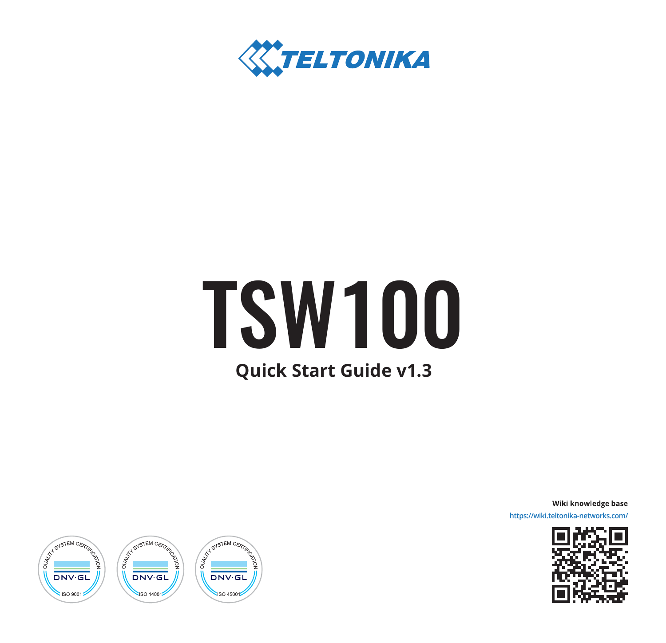

# **Quick Start Guide v1.3** TSW100

Wiki knowledge base

**https://wiki.teltonika-networks.com/**



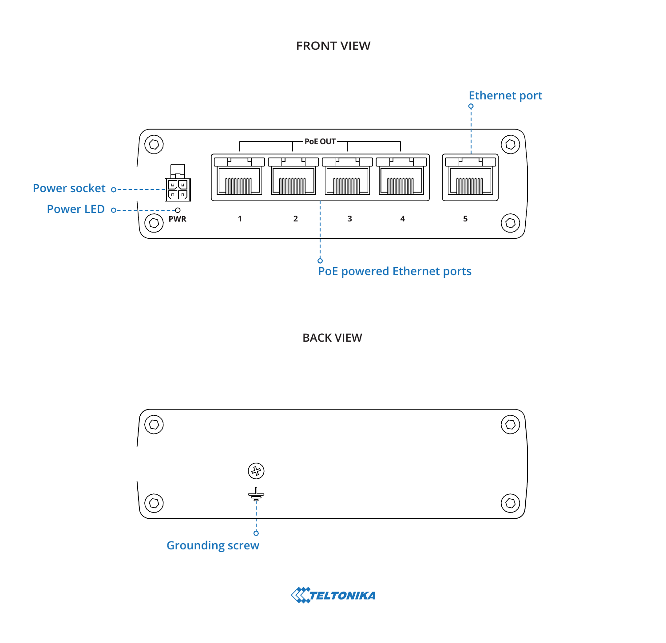#### **FRONT VIEW**



**BACK VIEW**



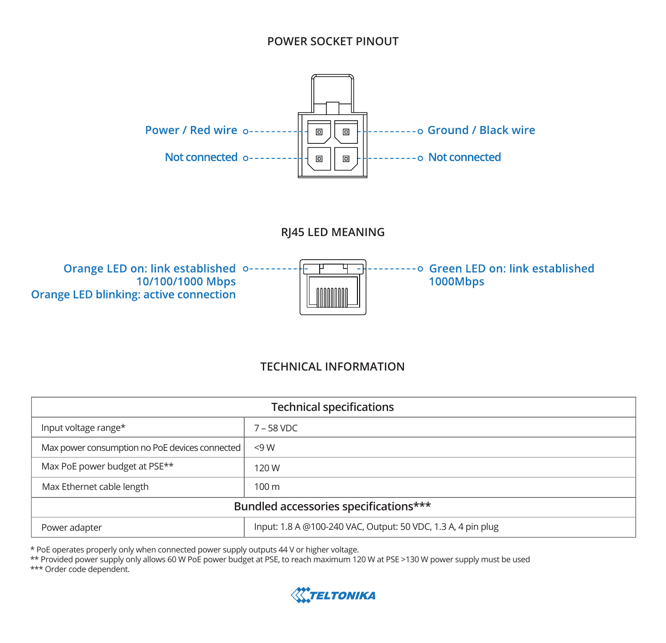#### **POWER SOCKET PINOUT**



**RJ45 LED MEANING**



#### **TECHNICAL INFORMATION**

| <b>Technical specifications</b>                |                                                              |
|------------------------------------------------|--------------------------------------------------------------|
| Input voltage range*                           | $7 - 58$ VDC                                                 |
| Max power consumption no PoE devices connected | <9W                                                          |
| Max PoE power budget at PSE**                  | 120 W                                                        |
| Max Ethernet cable length                      | 100 <sub>m</sub>                                             |
| Bundled accessories specifications***          |                                                              |
| Power adapter                                  | Input: 1.8 A @100-240 VAC, Output: 50 VDC, 1.3 A, 4 pin plug |

\* PoE operates properly only when connected power supply outputs 44 V or higher voltage.

\*\* Provided power supply only allows 60 W PoE power budget at PSE, to reach maximum 120 W at PSE >130 W power supply must be used

\*\*\* Order code dependent.

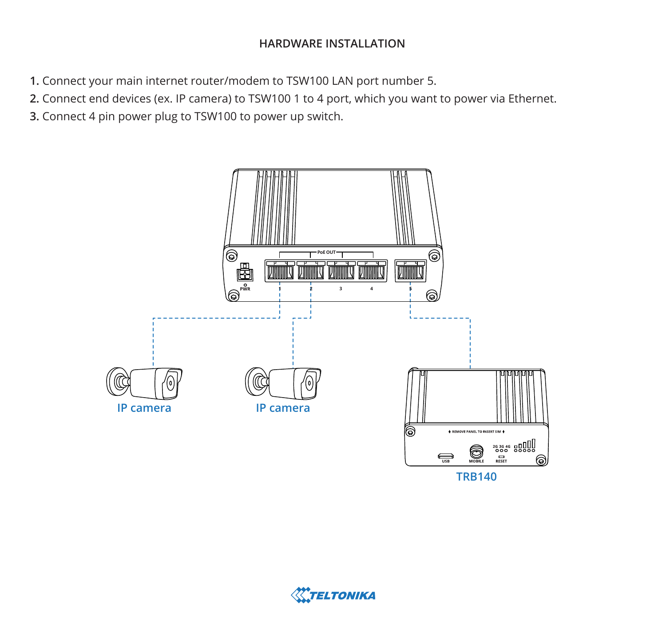## **HARDWARE INSTALLATION**

- **1.** Connect your main internet router/modem to TSW100 LAN port number 5.
- **2.** Connect end devices (ex. IP camera) to TSW100 1 to 4 port, which you want to power via Ethernet.
- **3.** Connect 4 pin power plug to TSW100 to power up switch.



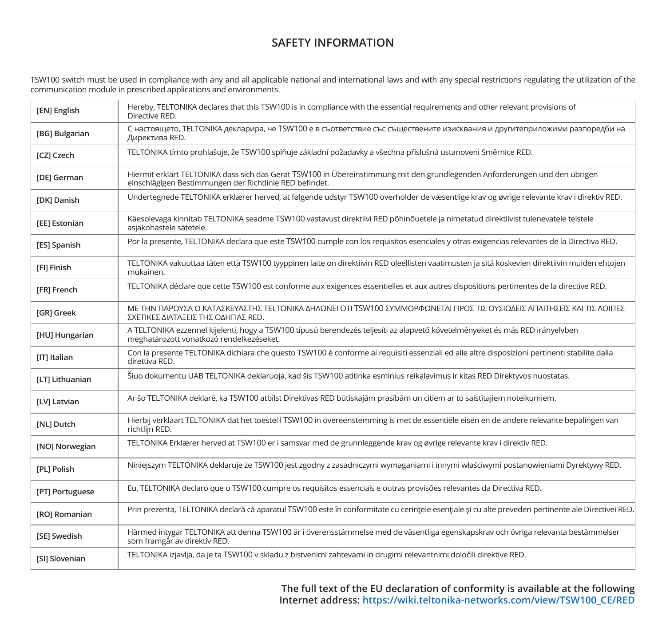### **SAFETY INFORMATION**

TSW100 switch must be used in compliance with any and all applicable national and international laws and with any special restrictions regulating the utilization of the<br>communication module in prescribed applications and e

| [EN] English           | Hereby, TELTONIKA declares that this TSW100 is in compliance with the essential requirements and other relevant provisions of<br>Directive RED.                                        |
|------------------------|----------------------------------------------------------------------------------------------------------------------------------------------------------------------------------------|
| [BG] Bulgarian         | С настоящето, TELTONIKA декларира, че TSW100 е в съответствие със съществените изисквания и другитеприложими разпоредби на<br>Директива RED.                                           |
| [CZ] Czech             | TELTONIKA tímto prohlašuje, že TSW100 splňuje základní požadavky a všechna příslušná ustanoveni Směrnice RED.                                                                          |
| [DE] German            | Hiermit erklärt TELTONIKA dass sich das Gerät TSW100 in Übereinstimmung mit den grundlegenden Anforderungen und den übrigen<br>einschlägigen Bestimmungen der Richtlinie RED befindet. |
| [DK] Danish            | Undertegnede TELTONIKA erklærer herved, at følgende udstyr TSW100 overholder de væsentlige krav og øvrige relevante krav i direktiv RED.                                               |
| [EE] Estonian          | Käesolevaga kinnitab TELTONIKA seadme TSW100 vastavust direktiivi RED põhinõuetele ja nimetatud direktiivist tulenevatele teistele<br>asiakohastele sätetele.                          |
| [ES] Spanish           | Por la presente, TELTONIKA declara que este TSW100 cumple con los requisitos esenciales y otras exigencias relevantes de la Directiva RED.                                             |
| [FI] Finish            | TELTONIKA vakuuttaa täten että TSW100 tyyppinen laite on direktiivin RED oleellisten vaatimusten ja sitä koskevien direktiivin muiden ehtojen<br>mukainen.                             |
| [FR] French            | TELTONIKA déclare que cette TSW100 est conforme aux exigences essentielles et aux autres dispositions pertinentes de la directive RED.                                                 |
| [GR] Greek             | ΜΕ ΤΗΝ ΠΑΡΟΥΣΑ Ο ΚΑΤΑΣΚΕΥΑΣΤΗΣ ΤΕLΤΟΝΙΚΑ ΔΗΛΩΝΕΙ ΟΤΙ ΤSW100 ΣΥΜΜΟΡΦΩΝΕΤΑΙ ΠΡΟΣ ΤΙΣ ΟΥΣΙΩΔΕΙΣ ΑΠΑΙΤΗΣΕΙΣ ΚΑΙ ΤΙΣ ΛΟΙΠΕΣ<br>ΣΧΕΤΙΚΕΣ ΔΙΑΤΑΞΕΙΣ ΤΗΣ ΟΔΗΓΙΑΣ RED.                          |
| [HU] Hungarian         | A TELTONIKA ezzennel kijelenti, hogy a TSW100 típusú berendezés teljesíti az alapvető követelményeket és más RED irányelvben<br>meghatározott vonatkozó rendelkezéseket.               |
| [IT] Italian           | Con la presente TELTONIKA dichiara che questo TSW100 è conforme ai requisiti essenziali ed alle altre disposizioni pertinenti stabilite dalla<br>direttiva RED.                        |
| <b>ILTI Lithuanian</b> | Šiuo dokumentu UAB TELTONIKA deklaruoja, kad šis TSW100 atitinka esminius reikalavimus ir kitas RED Direktyvos nuostatas.                                                              |
| [LV] Latvian           | Ar šo TELTONIKA deklarē, ka TSW100 atbilst Direktīvas RED būtiskajām prasībām un citiem ar to saistītajiem noteikumiem.                                                                |
| [NL] Dutch             | Hierbij verklaart TELTONIKA dat het toestel I TSW100 in overeenstemming is met de essentiële eisen en de andere relevante bepalingen van<br>richtlijn RED.                             |
| [NO] Norwegian         | TELTONIKA Erklærer herved at TSW100 er i samsvar med de grunnleggende krav og øvrige relevante krav i direktiv RED.                                                                    |
| [PL] Polish            | Niniejszym TELTONIKA deklaruje że TSW100 jest zgodny z zasadniczymi wymaganiami i innymi właściwymi postanowieniami Dyrektywy RED.                                                     |
| [PT] Portuguese        | Eu, TELTONIKA declaro que o TSW100 cumpre os requisitos essenciais e outras provisões relevantes da Directiva RED.                                                                     |
| [RO] Romanian          | Prin prezenta, TELTONIKA declară că aparatul TSW100 este în conformitate cu cerintele esentiale și cu alte prevederi pertinente ale Directivei RED.                                    |
| <b>ISEI Swedish</b>    | Härmed intygar TELTONIKA att denna TSW100 är i överensstämmelse med de väsentliga egenskapskrav och övriga relevanta bestämmelser<br>som framgår av direktiv RED.                      |
| [SI] Slovenian         | TELTONIKA izjavlja, da je ta TSW100 v skladu z bistvenimi zahtevami in drugimi relevantnimi določili direktive RED.                                                                    |

**The full text of the EU declaration of conformity is available at the following Internet address: https://wiki.teltonika-networks.com/view/TSW100\_CE/RED**